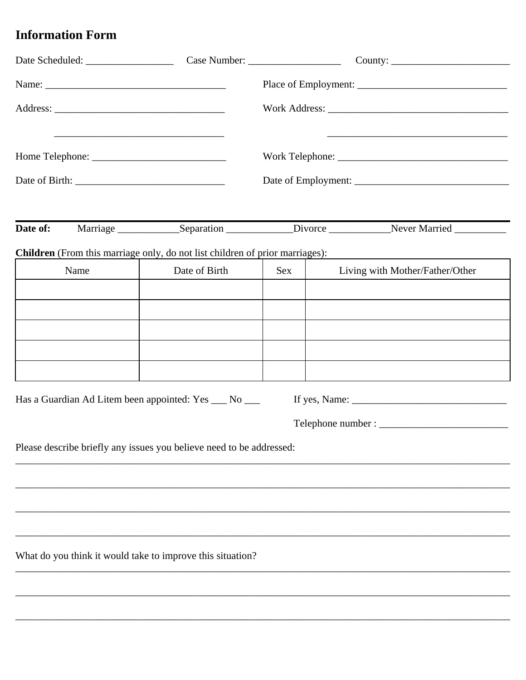## **Information Form**

| Date of: |      |                                                                              |            |                                                                                                             |  |
|----------|------|------------------------------------------------------------------------------|------------|-------------------------------------------------------------------------------------------------------------|--|
|          |      | Children (From this marriage only, do not list children of prior marriages): |            |                                                                                                             |  |
|          | Name | Date of Birth                                                                | <b>Sex</b> | Living with Mother/Father/Other                                                                             |  |
|          |      |                                                                              |            |                                                                                                             |  |
|          |      |                                                                              |            |                                                                                                             |  |
|          |      |                                                                              |            |                                                                                                             |  |
|          |      |                                                                              |            |                                                                                                             |  |
|          |      |                                                                              |            |                                                                                                             |  |
|          |      | Has a Guardian Ad Litem been appointed: Yes __ No __                         |            | If yes, Name: $\frac{1}{\sqrt{1-\frac{1}{2}}\sqrt{1-\frac{1}{2}}\sqrt{1-\frac{1}{2}}\sqrt{1-\frac{1}{2}}}}$ |  |
|          |      |                                                                              |            |                                                                                                             |  |
|          |      |                                                                              |            |                                                                                                             |  |
|          |      | Please describe briefly any issues you believe need to be addressed:         |            |                                                                                                             |  |
|          |      |                                                                              |            |                                                                                                             |  |
|          |      |                                                                              |            |                                                                                                             |  |
|          |      |                                                                              |            |                                                                                                             |  |
|          |      |                                                                              |            |                                                                                                             |  |
|          |      | What do you think it would take to improve this situation?                   |            |                                                                                                             |  |
|          |      |                                                                              |            |                                                                                                             |  |
|          |      |                                                                              |            |                                                                                                             |  |
|          |      |                                                                              |            |                                                                                                             |  |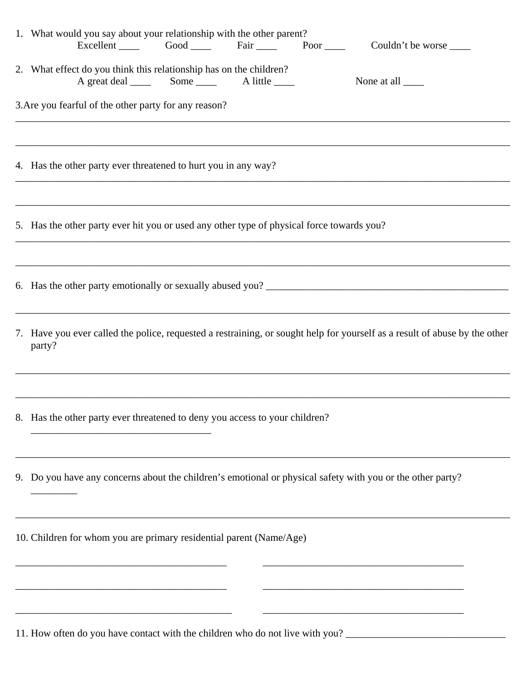| 1. What would you say about your relationship with the other parent?<br>Excellent Good Fair Poor<br>Couldn't be worse                |
|--------------------------------------------------------------------------------------------------------------------------------------|
| 2. What effect do you think this relationship has on the children?<br>None at all $\_\_$                                             |
| 3. Are you fearful of the other party for any reason?                                                                                |
| 4. Has the other party ever threatened to hurt you in any way?                                                                       |
| 5. Has the other party ever hit you or used any other type of physical force towards you?                                            |
| 6. Has the other party emotionally or sexually abused you?                                                                           |
| 7. Have you ever called the police, requested a restraining, or sought help for yourself as a result of abuse by the other<br>party? |
| 8. Has the other party ever threatened to deny you access to your children?                                                          |
| 9. Do you have any concerns about the children's emotional or physical safety with you or the other party?                           |
| 10. Children for whom you are primary residential parent (Name/Age)                                                                  |
|                                                                                                                                      |
|                                                                                                                                      |

11. How often do you have contact with the children who do not live with you? \_\_\_\_\_\_\_\_\_\_\_\_\_\_\_\_\_\_\_\_\_\_\_\_\_\_\_\_\_\_\_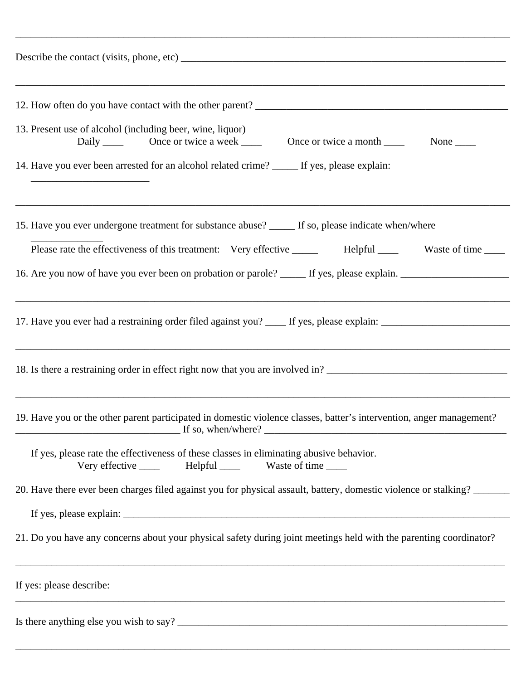| 13. Present use of alcohol (including beer, wine, liquor)                                                                                         |  |  |  |  |  |
|---------------------------------------------------------------------------------------------------------------------------------------------------|--|--|--|--|--|
| 14. Have you ever been arrested for an alcohol related crime? _____ If yes, please explain:                                                       |  |  |  |  |  |
| 15. Have you ever undergone treatment for substance abuse? _____ If so, please indicate when/where                                                |  |  |  |  |  |
| Please rate the effectiveness of this treatment: Very effective _______ Helpful _____ Waste of time ____                                          |  |  |  |  |  |
|                                                                                                                                                   |  |  |  |  |  |
|                                                                                                                                                   |  |  |  |  |  |
| 19. Have you or the other parent participated in domestic violence classes, batter's intervention, anger management?                              |  |  |  |  |  |
| If yes, please rate the effectiveness of these classes in eliminating abusive behavior.<br>Very effective ______ Helpful _____ Waste of time ____ |  |  |  |  |  |
| 20. Have there ever been charges filed against you for physical assault, battery, domestic violence or stalking?                                  |  |  |  |  |  |
|                                                                                                                                                   |  |  |  |  |  |
| 21. Do you have any concerns about your physical safety during joint meetings held with the parenting coordinator?                                |  |  |  |  |  |
| If yes: please describe:                                                                                                                          |  |  |  |  |  |
|                                                                                                                                                   |  |  |  |  |  |

\_\_\_\_\_\_\_\_\_\_\_\_\_\_\_\_\_\_\_\_\_\_\_\_\_\_\_\_\_\_\_\_\_\_\_\_\_\_\_\_\_\_\_\_\_\_\_\_\_\_\_\_\_\_\_\_\_\_\_\_\_\_\_\_\_\_\_\_\_\_\_\_\_\_\_\_\_\_\_\_\_\_\_\_\_\_\_\_\_\_\_\_\_\_\_\_